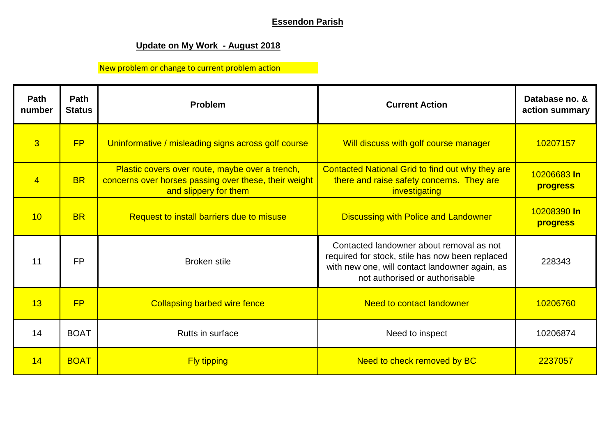## **Essendon Parish**

## **Update on My Work - August 2018**

## New problem or change to current problem action

| Path<br>number | Path<br><b>Status</b> | <b>Problem</b>                                                                                                                    | <b>Current Action</b>                                                                                                                                                           | Database no. &<br>action summary |
|----------------|-----------------------|-----------------------------------------------------------------------------------------------------------------------------------|---------------------------------------------------------------------------------------------------------------------------------------------------------------------------------|----------------------------------|
| $\overline{3}$ | FP                    | Uninformative / misleading signs across golf course                                                                               | Will discuss with golf course manager                                                                                                                                           | 10207157                         |
| $\overline{4}$ | <b>BR</b>             | Plastic covers over route, maybe over a trench,<br>concerns over horses passing over these, their weight<br>and slippery for them | Contacted National Grid to find out why they are<br>there and raise safety concerns. They are<br>investigating                                                                  | 10206683 In<br>progress          |
| 10             | <b>BR</b>             | Request to install barriers due to misuse                                                                                         | <b>Discussing with Police and Landowner</b>                                                                                                                                     | 10208390 In<br>progress          |
| 11             | <b>FP</b>             | <b>Broken stile</b>                                                                                                               | Contacted landowner about removal as not<br>required for stock, stile has now been replaced<br>with new one, will contact landowner again, as<br>not authorised or authorisable | 228343                           |
| 13             | <b>FP</b>             | <b>Collapsing barbed wire fence</b>                                                                                               | <b>Need to contact landowner</b>                                                                                                                                                | 10206760                         |
| 14             | <b>BOAT</b>           | Rutts in surface                                                                                                                  | Need to inspect                                                                                                                                                                 | 10206874                         |
| 14             | <b>BOAT</b>           | <b>Fly tipping</b>                                                                                                                | Need to check removed by BC                                                                                                                                                     | 2237057                          |